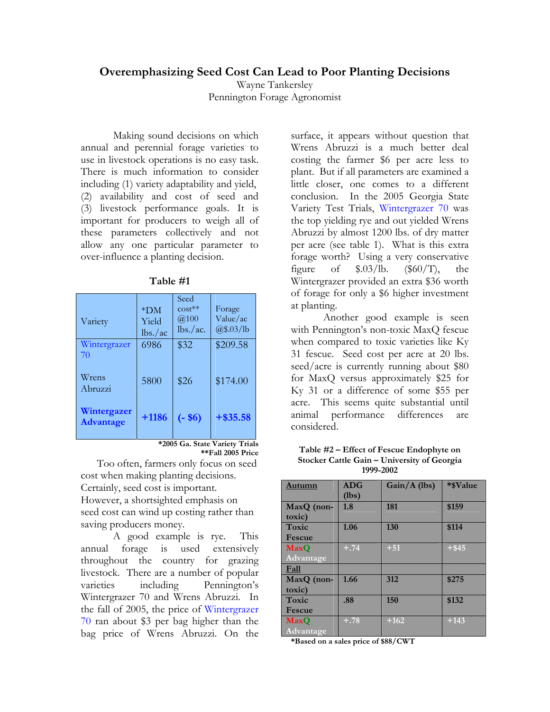## **Overemphasizing Seed Cost Can Lead to Poor Planting Decisions**

Wayne Tankersley Pennington Forage Agronomist

Making sound decisions on which annual and perennial forage varieties to use in livestock operations is no easy task. There is much information to consider including (1) variety adaptability and yield, (2) availability and cost of seed and (3) livestock performance goals. It is important for producers to weigh all of these parameters collectively and not allow any one particular parameter to over-influence a planting decision.

| Variety                         | $*DM$<br>Yield<br>lbs./ac | Seed<br>$cost**$<br>@100<br>lbs./ac. | Forage<br>Value/ac<br>$\frac{a}{\$.03}$ /lb |
|---------------------------------|---------------------------|--------------------------------------|---------------------------------------------|
| Wintergrazer<br>70              | 6986                      | \$32                                 | \$209.58                                    |
| Wrens<br>Abruzzi                | 5800                      | \$26                                 | \$174.00                                    |
| Wintergazer<br><b>Advantage</b> | $+1186$                   | $(-\$6)$                             | $+ $35.58$                                  |

**Table #1** 

**\*2005 Ga. State Variety Trials \*\*Fall 2005 Price**

Too often, farmers only focus on seed cost when making planting decisions. Certainly, seed cost is important. However, a shortsighted emphasis on seed cost can wind up costing rather than saving producers money.

 A good example is rye. This annual forage is used extensively throughout the country for grazing livestock. There are a number of popular varieties including Pennington's Wintergrazer 70 and Wrens Abruzzi. In the fall of 2005, the price of Wintergrazer 70 ran about \$3 per bag higher than the bag price of Wrens Abruzzi. On the

surface, it appears without question that Wrens Abruzzi is a much better deal costing the farmer \$6 per acre less to plant. But if all parameters are examined a little closer, one comes to a different conclusion. In the 2005 Georgia State Variety Test Trials, Wintergrazer 70 was the top yielding rye and out yielded Wrens Abruzzi by almost 1200 lbs. of dry matter per acre (see table 1). What is this extra forage worth? Using a very conservative figure of  $$.03/lb.$   $($60/T)$ , the Wintergrazer provided an extra \$36 worth of forage for only a \$6 higher investment at planting.

 Another good example is seen with Pennington's non-toxic MaxQ fescue when compared to toxic varieties like Ky 31 fescue. Seed cost per acre at 20 lbs. seed/acre is currently running about \$80 for MaxQ versus approximately \$25 for Ky 31 or a difference of some \$55 per acre. This seems quite substantial until animal performance differences are considered.

| Table #2 – Effect of Fescue Endophyte on    |
|---------------------------------------------|
| Stocker Cattle Gain – University of Georgia |
| 1999-2002                                   |

| Autumn                   | <b>ADG</b><br>(lbs) | Gain/A (lbs) | *\$Value |
|--------------------------|---------------------|--------------|----------|
| MaxQ (non-<br>toxic)     | 1.8                 | 181          | \$159    |
| Toxic<br><b>Fescue</b>   | 1.06                | 130          | \$114    |
| <b>MaxO</b><br>Advantage | $+.74$              | $+51$        | $+$ \$45 |
| Fall                     |                     |              |          |
| MaxQ (non-<br>toxic)     | 1.66                | 312          | \$275    |
| Toxic<br>Fescue          | .88                 | 150          | \$132    |
| <b>MaxO</b><br>Advantage | $+.78$              | $+162$       | $+143$   |

**\*Based on a sales price of \$88/CWT**